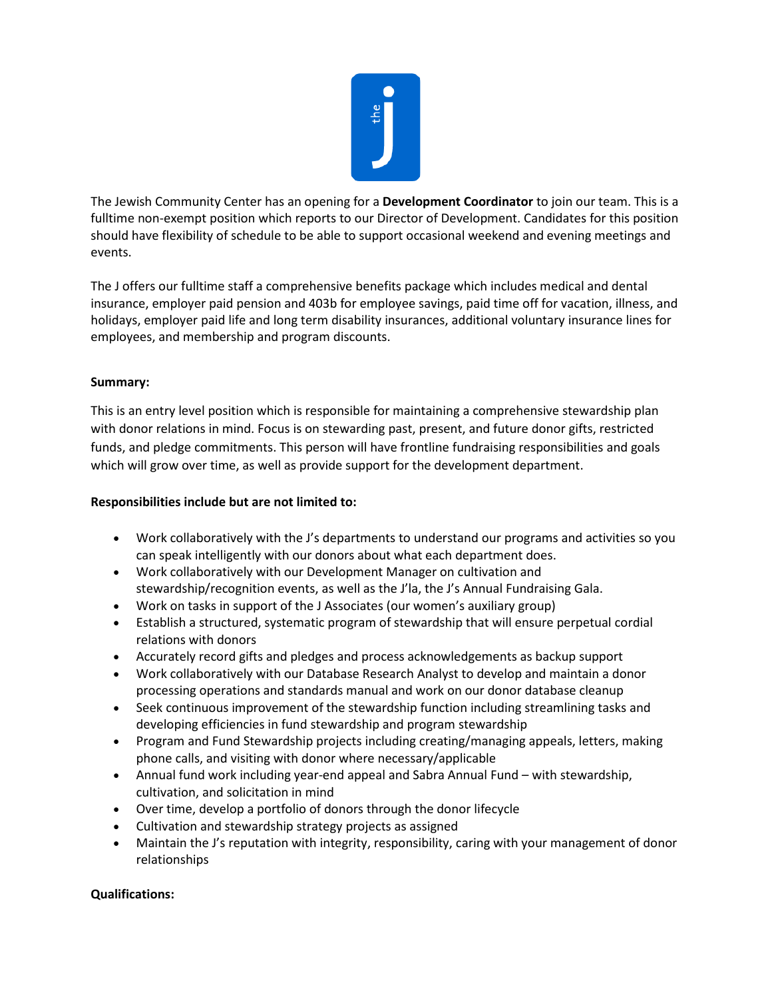

The Jewish Community Center has an opening for a **Development Coordinator** to join our team. This is a fulltime non-exempt position which reports to our Director of Development. Candidates for this position should have flexibility of schedule to be able to support occasional weekend and evening meetings and events.

The J offers our fulltime staff a comprehensive benefits package which includes medical and dental insurance, employer paid pension and 403b for employee savings, paid time off for vacation, illness, and holidays, employer paid life and long term disability insurances, additional voluntary insurance lines for employees, and membership and program discounts.

## **Summary:**

This is an entry level position which is responsible for maintaining a comprehensive stewardship plan with donor relations in mind. Focus is on stewarding past, present, and future donor gifts, restricted funds, and pledge commitments. This person will have frontline fundraising responsibilities and goals which will grow over time, as well as provide support for the development department.

## **Responsibilities include but are not limited to:**

- Work collaboratively with the J's departments to understand our programs and activities so you can speak intelligently with our donors about what each department does.
- Work collaboratively with our Development Manager on cultivation and stewardship/recognition events, as well as the J'la, the J's Annual Fundraising Gala.
- Work on tasks in support of the J Associates (our women's auxiliary group)
- Establish a structured, systematic program of stewardship that will ensure perpetual cordial relations with donors
- Accurately record gifts and pledges and process acknowledgements as backup support
- Work collaboratively with our Database Research Analyst to develop and maintain a donor processing operations and standards manual and work on our donor database cleanup
- Seek continuous improvement of the stewardship function including streamlining tasks and developing efficiencies in fund stewardship and program stewardship
- Program and Fund Stewardship projects including creating/managing appeals, letters, making phone calls, and visiting with donor where necessary/applicable
- Annual fund work including year-end appeal and Sabra Annual Fund with stewardship, cultivation, and solicitation in mind
- Over time, develop a portfolio of donors through the donor lifecycle
- Cultivation and stewardship strategy projects as assigned
- Maintain the J's reputation with integrity, responsibility, caring with your management of donor relationships

## **Qualifications:**